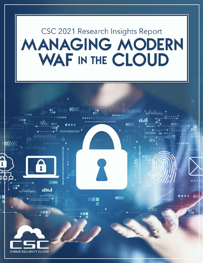# CSC 2021 Research Insights Report **MANAGING MODERN** WAF IN THE CLOUD

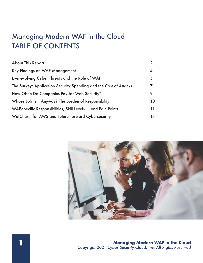# TABLE OF CONTENTS Managing Modern WAF in the Cloud

| <b>About This Report</b>                                          |    |
|-------------------------------------------------------------------|----|
| Key Findings on WAF Management                                    | 4  |
| Ever-evolving Cyber Threats and the Role of WAF                   | 5  |
| The Survey: Application Security Spending and the Cost of Attacks |    |
| How Often Do Companies Pay for Web Security?                      | 9  |
| Whose Job Is It Anyway? The Burden of Responsibility              | 10 |
| WAF-specific Responsibilities, Skill Levels  and Pain Points      | 11 |
| WafCharm for AWS and Future-Forward Cybersecurity                 | 14 |

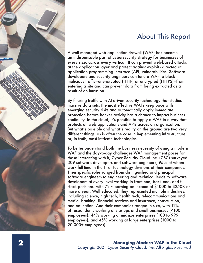

A well managed web application firewall (WAF) has become an indispensable part of cybersecurity strategy for businesses of every size, across every vertical. It can prevent web-based attacks at the application layer and protect against exploits directed at application programming interface (API) vulnerabilities. Software developers and security engineers can tune a WAF to block malicious traffic—unencrypted (HTTP) or encrypted (HTTPS)—from entering a site and can prevent data from being extracted as a result of an intrusion.

By filtering traffic with AI-driven security technology that studies massive data sets, the most effective WAFs keep pace with emerging security risks and automatically apply immediate protection before hacker activity has a chance to impact business continuity. In the cloud, it's possible to apply a WAF in a way that protects all web applications and APIs across an organization. But what's possible and what's reality on the ground are two very different things, as is often the case in implementing infrastructure or, in truth, most intricate technologies.

To better understand both the business necessity of using a modern WAF and the day-to-day challenges WAF management poses for those interacting with it, Cyber Security Cloud Inc. (CSC) surveyed 309 software developers and software engineers, 95% of whom work full-time in the IT or technology divisions of their companies. Their specific roles ranged from distinguished and principal software engineers to engineering and technical leads to software developers at every level working in front end, back end, and full stack positions—with 72% earning an income of \$100K to \$250K or more a year. Well educated, they represented multiple industries, including science, high tech, health tech, telecommunications and media, banking, financial services and insurance, construction, and education. And their companies ranged in size, with 11% of respondents working at startups and small businesses (<100 employees), 44% working at midsize enterprises (100 to 999 employees), and 45% working at large enterprises (1000 to 20,000+ employees).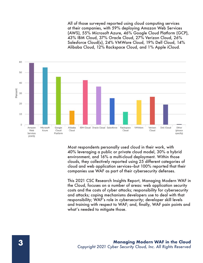All of those surveyed reported using cloud computing services at their companies, with 59% deploying Amazon Web Services (AWS), 55% Microsoft Azure, 46% Google Cloud Platform (GCP), 43% IBM Cloud, 37% Oracle Cloud, 27% Verizon Cloud, 26% Salesforce Cloud(s), 24% VMWare Cloud, 19% Dell Cloud, 14% Alibaba Cloud, 12% Rackspace Cloud, and 1% Apple iCloud.



Most respondents personally used cloud in their work, with 40% leveraging a public or private cloud model, 30% a hybrid environment, and 16% a multi-cloud deployment. Within those clouds, they collectively reported using 25 different categories of cloud and web application services—but 100% reported that their companies use WAF as part of their cybersecurity defenses.

This 2021 CSC Research Insights Report, Managing Modern WAF in the Cloud, focuses on a number of areas: web application security costs and the costs of cyber attacks; responsibility for cybersecurity and attacks; coping mechanisms developers use to deal with that responsibility; WAF's role in cybersecurity; developer skill levels and training with respect to WAF; and, finally, WAF pain points and what's needed to mitigate those.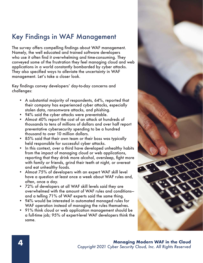# Key Findings in WAF Management

The survey offers compelling findings about WAF management. Namely, the well educated and trained software developers who use it often find it overwhelming and time-consuming. They conveyed some of the frustration they feel managing cloud and web applications in a world constantly bombarded by cyber attacks. They also specified ways to alleviate the uncertainty in WAF management. Let's take a closer look.

Key findings convey developers' day-to-day concerns and challenges:

- A substantial majority of respondents, 64%, reported that their company has experienced cyber attacks, especially stolen data, ransomware attacks, and phishing.
- 94% said the cyber attacks were preventable.
- Almost 40% report the cost of an attack at hundreds of thousands to tens of millions of dollars and over half report preventative cybersecurity spending to be a hundred thousand to over 10 million dollars.
- 85% said that their own team or their boss was typically held responsible for successful cyber attacks.
- In this context, over a third have developed unhealthy habits from the impact of managing cloud or web applications, reporting that they drink more alcohol, oversleep, fight more with family or friends, grind their teeth at night, or overeat and eat unhealthy foods.
- Almost 75% of developers with an expert WAF skill level have a question at least once a week about WAF rules and, often, once a day.
- 72% of developers at all WAF skill levels said they are overwhelmed with the amount of WAF rules and conditions and a telling 71% of WAF experts said the same thing.
- 94% would be interested in automated managed rules for WAF operation instead of managing the rules themselves.
- 91% think cloud or web application management should be a full-time job; 95% of expert-level WAF developers think the same.

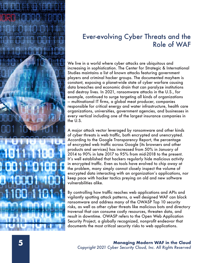

## Ever-evolving Cyber Threats and the Role of WAF

We live in a world where cyber attacks are ubiquitous and increasing in sophistication. The Center for Strategic & International Studies maintains a list of known attacks featuring government players and criminal hacker groups. The documented mayhem is constant, exposing a planet-wide state of cyber warfare causing data breaches and economic drain that can paralyze institutions and destroy lives. In 2021, ransomware attacks in the U.S., for example, continued to surge targeting all kinds of organizations — multinational IT firms, a global meat producer, companies responsible for critical energy and water infrastructure, health care organizations, universities, government agencies, and businesses in every vertical including one of the largest insurance companies in the U.S.

A major attack vector leveraged by ransomware and other kinds of cyber threats is web traffic, both encrypted and unencrypted. According to the Google Transparency Report, the percentage of encrypted web traffic across Google (its browsers and other products and services) has increased from 50% in January of 2014 to 90% in late 2017 to 95% from mid-2018 to the present. It's well established that hackers regularly hide malicious activity in encrypted traffic. Even as tools have evolved to chip away at the problem, many simply cannot closely inspect the volume of encrypted data interacting with an organization's applications, nor keep pace with hacker tactics preying on old and new software vulnerabilities alike.

By controlling how traffic reaches web applications and APIs and vigilantly spotting attack patterns, a well designed WAF can block ransomware and address many of the OWASP Top 10 security risks, as well as other cyber threats like malicious bots and directory traversal that can consume costly resources, threaten data, and result in downtime. OWASP refers to the Open Web Application Security Project, a globally recognized, nonprofit endeavor that documents the most critical security risks to web applications.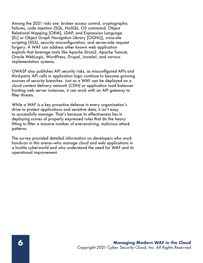Among the 2021 risks are: broken access control, cryptographic failures, code injection (SQL, NoSQL, OS command, Object Relational Mapping [ORM], LDAP, and Expression Language [EL] or Object Graph Navigation Library [OGNL]), cross-site scripting (XSS), security misconfiguration, and server-side request forgery. A WAF can address other known web application exploits that leverage tools like Apache Struts2, Apache Tomcat, Oracle WebLogic, WordPress, Drupal, Joomla!, and various implementation systems.

OWASP also publishes API security risks, as misconfigured APIs and third-party API calls in application logic continue to become growing sources of security breaches. Just as a WAF can be deployed on a cloud content delivery network (CDN) or application load balancer fronting web server instances, it can work with an API gateway to filter threats.

While a WAF is a key proactive defense in every organization's drive to protect applications and sensitive data, it isn't easy to successfully manage. That's because its effectiveness lies in deploying scores of properly expressed rules that do the heavy lifting to filter a massive number of ever-evolving, malicious attack patterns.

The survey provided detailed information on developers who work hands-on in this arena—who manage cloud and web applications in a hostile cyberworld and who understand the need for WAF and its operational improvement.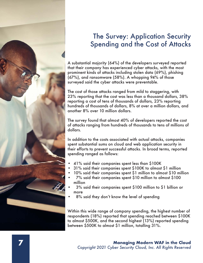

### The Survey: Application Security Spending and the Cost of Attacks

A substantial majority (64%) of the developers surveyed reported that their company has experienced cyber attacks, with the most prominent kinds of attacks including stolen data (69%), phishing (67%), and ransomware (58%). A whopping 94% of those surveyed said the cyber attacks were preventable.

The cost of those attacks ranged from mild to staggering, with 23% reporting that the cost was less than a thousand dollars, 38% reporting a cost of tens of thousands of dollars, 23% reporting hundreds of thousands of dollars, 8% at over a million dollars, and another 8% over 10 million dollars.

The survey found that almost 40% of developers reported the cost of attacks ranging from hundreds of thousands to tens of millions of dollars.

In addition to the costs associated with actual attacks, companies spent substantial sums on cloud and web application security in their efforts to prevent successful attacks. In broad terms, reported spending ranged as follows:

- 41% said their companies spent less than \$100K
- 31% said their companies spent \$100K to almost \$1 million
- 10% said their companies spent \$1 million to almost \$10 million
- 7% said their companies spent \$10 million to almost \$100 million
- 3% said their companies spent \$100 million to \$1 billion or more
- 8% said they don't know the level of spending

Within this wide range of company spending, the highest number of respondents (18%) reported that spending reached between \$100K to almost \$500K, and the second highest (13%) reported spending between \$500K to almost \$1 million, totalling 31%.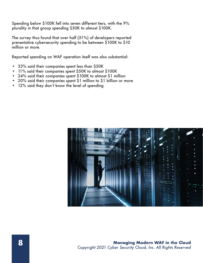Spending below \$100K fell into seven different tiers, with the 9% plurality in that group spending \$50K to almost \$100K.

The survey thus found that over half (51%) of developers reported preventative cybersecurity spending to be between \$100K to \$10 million or more.

Reported spending on WAF operation itself was also substantial:

- 33% said their companies spent less than \$50K
- 11% said their companies spent \$50K to almost \$100K
- 24% said their companies spent \$100K to almost \$1 million
- 20% said their companies spent \$1 million to \$1 billion or more
- 12% said they don't know the level of spending

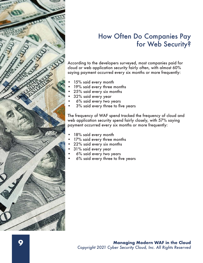

#### How Often Do Companies Pay for Web Security?

According to the developers surveyed, most companies paid for cloud or web application security fairly often, with almost 60% saying payment occurred every six months or more frequently:

- 15% said every month
- 19% said every three months
- 25% said every six months
- 32% said every year
- 6% said every two years
- 3% said every three to five years

The frequency of WAF spend tracked the frequency of cloud and web application security spend fairly closely, with 57% saying payment occurred every six months or more frequently:

- 18% said every month
- 17% said every three months
- 22% said every six months
- 31% said every year
- 6% said every two years
- 6% said every three to five years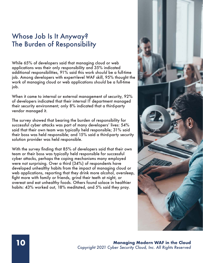#### Whose Job Is It Anyway? The Burden of Responsibility

While 65% of developers said that managing cloud or web applications was their only responsibility and 35% indicated additional responsibilities, 91% said this work *should* be a full-time job. Among developers with expert-level WAF skill, 95% thought the work of managing cloud or web applications *should* be a full-time job.

When it came to internal or external management of security, 92% of developers indicated that their internal IT department managed their security environment; only 8% indicated that a third-party vendor managed it.

The survey showed that bearing the burden of responsibility for successful cyber attacks was part of many developers' lives: 54% said that their own team was typically held responsible; 31% said their boss was held responsible; and 15% said a third-party security solution provider was held responsible.

With the survey finding that 85% of developers said that their own team or their boss was typically held responsible for successful cyber attacks, perhaps the coping mechanisms many employed were not surprising. Over a third (34%) of respondents have developed unhealthy habits from the impact of managing cloud or web applications, reporting that they drink more alcohol, oversleep, fight more with family or friends, grind their teeth at night, or overeat and eat unhealthy foods. Others found solace in healthier habits: 43% worked out, 18% meditated, and 5% said they pray.

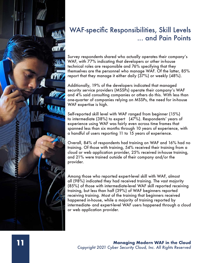

# WAF-specific Responsibilities, Skill Levels ... and Pain Points

Survey respondents shared who actually operates their company's WAF, with 77% indicating that developers or other in-house technical roles are responsible and 76% specifying that they themselves are the personnel who manage WAF. Of the latter, 85% report that they manage it either daily (37%) or weekly (48%).

Additionally, 19% of the developers indicated that managed security service providers (MSSPs) operate their company's WAF and 4% said consulting companies or others do this. With less than one-quarter of companies relying on MSSPs, the need for in-house WAF expertise is high.

Self-reported skill level with WAF ranged from beginner (15%) to intermediate (38%) to expert (47%). Respondents' years of experience using WAF was fairly even across time frames that spanned less than six months through 10 years of experience, with a handful of users reporting 11 to 15 years of experience.

Overall, 84% of respondents had training on WAF and 16% had no training. Of those with training, 54% received their training from a cloud or web application provider, 25% received in-house training, and 21% were trained outside of their company and/or the provider.

Among those who reported expert-level skill with WAF, almost all (98%) indicated they had received training. The vast majority (85%) of those with intermediate-level WAF skill reported receiving training, but less than half (39%) of WAF beginners reported receiving training. Most of the training that beginners received happened in-house, while a majority of training reported by intermediate- and expert-level WAF users happened through a cloud or web application provider.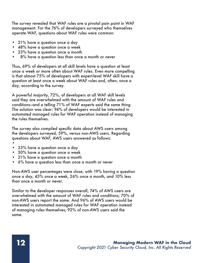The survey revealed that WAF rules are a pivotal pain point in WAF management. For the 76% of developers surveyed who themselves operate WAF, questions about WAF rules were common:

- 21% have a question once a day
- 48% have a question once a week
- 23% have a question once a month
- 8% have a question less than once a month or never

Thus, 69% of developers at all skill levels have a question at least once a week or more often about WAF rules. Even more compelling is that almost 75% of developers with expert-level WAF skill have a question at least once a week about WAF rules and, often, once a day, according to the survey.

A powerful majority, 72%, of developers at all WAF skill levels said they are overwhelmed with the amount of WAF rules and conditions—and a telling 71% of WAF experts said the same thing. The solution was clear: 94% of developers would be interested in automated managed rules for WAF operation instead of managing the rules themselves.

The survey also compiled specific data about AWS users among the developers surveyed, 59%, versus non-AWS users. Regarding questions about WAF, AWS users answered as follows:

- •
- 23% have a question once a day
- 50% have a question once a week
- 21% have a question once a month
- 6% have a question less than once a month or never

Non-AWS user percentages were close, with 19% having a question once a day, 45% once a week, 26% once a month, and 10% less than once a month or never.

Similar to the developer responses overall, 74% of AWS users are overwhelmed with the amount of WAF rules and conditions; 70% of non-AWS users report the same. And 96% of AWS users would be interested in automated managed rules for WAF operation instead of managing rules themselves; 92% of non-AWS users said the same.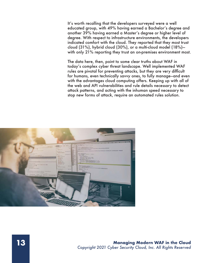It's worth recalling that the developers surveyed were a well educated group, with 49% having earned a Bachelor's degree and another 39% having earned a Master's degree or higher level of degree. With respect to infrastructure environments, the developers indicated comfort with the cloud. They reported that they most trust cloud (31%), hybrid cloud (30%), or a multi-cloud model (18%) with only 21% reporting they trust an on-premises environment most.

The data here, then, point to some clear truths about WAF in today's complex cyber threat landscape. Well implemented WAF rules are pivotal for preventing attacks, but they are very difficult for humans, even technically savvy ones, to fully manage—and even with the advantages cloud computing offers. Keeping up with all of the web and API vulnerabilities and rule details necessary to detect attack patterns, and acting with the inhuman speed necessary to stop new forms of attack, require an automated rules solution.

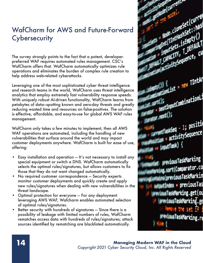### WafCharm for AWS and Future-Forward **Cybersecurity**

The survey strongly points to the fact that a potent, developerpreferred WAF requires automated rules management. CSC's WafCharm offers that. WafCharm automatically optimizes rule operations and eliminates the burden of complex rule creation to help address web-related cyberattacks.

Leveraging one of the most sophisticated cyber threat intelligence and research teams in the world, WafCharm uses threat intelligence analytics that employ extremely fast vulnerability response speeds. With uniquely robust AI-driven functionality, WafCharm learns from petabytes of data—spotting known and zero-day threats and greatly reducing wasted time and resources on false-positives. The solution is effective, affordable, and easy-to-use for global AWS WAF rules management.

WafCharm only takes a few minutes to implement, then all AWS WAF operations are automated, including the handling of new vulnerabilities that surface around the world and may impact customer deployments anywhere. WafCharm is built for ease of use, offering:

- Easy installation and operation It's not necessary to install any special equipment or switch a DNS. WafCharm automatically selects the optimal rules/signatures, but allows customers to fix those that they do not want changed automatically.
- No required customer correspondence Security experts monitor customer deployments and quickly create and apply new rules/signatures when dealing with new vulnerabilities in the threat landscape.
- Optimal protection for everyone For any deployment leveraging AWS WAF, Wafcharm enables automated selection of optimal rules/signatures.
- Better security with hundreds of signatures Since there is a possibility of leakage with limited numbers of rules, WafCharm rematches access data with hundreds of rules/signatures; attack sources identified by rematching are blacklisted automatically.

Current. cloneset (currel Clone Set (Curves) Entreprise () **EMPIRE ISEMPLY \/**<br>EMPIRE ISEMPLY \/<br>EMPIREMENCE, CU Emperies 1. Derne cu TIntAr = الصحيح على المقطوع EInputCombinationLi mm<br><sub>nemt</sub>raskSeq - 1; positi(<br>http://www.cquence.com entTaskSeq<br>ion = activitySequence  $\frac{1}{\sqrt{2}}$  (ngutTask) {

previousTaskMarking g, sort(Comparator.co mains (previous TaskMarkin putIndex = previousTas www.faskMarking.get(ou (proviousTaskMarking.ge **WeviousTaskMarking.re**